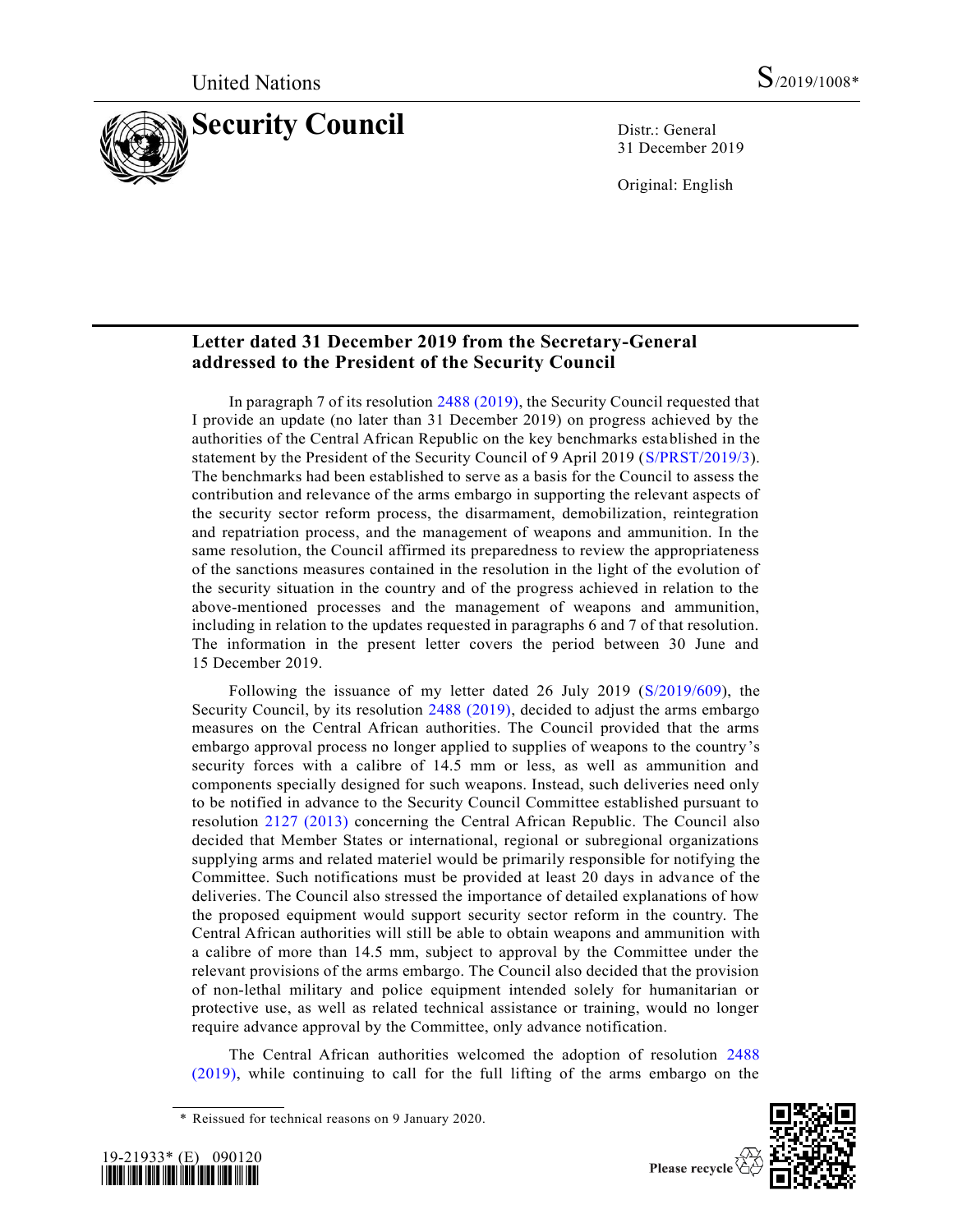

31 December 2019

Original: English

# **Letter dated 31 December 2019 from the Secretary-General addressed to the President of the Security Council**

In paragraph 7 of its resolution [2488 \(2019\),](https://undocs.org/en/S/RES/2488%20(2019)) the Security Council requested that I provide an update (no later than 31 December 2019) on progress achieved by the authorities of the Central African Republic on the key benchmarks established in the statement by the President of the Security Council of 9 April 2019 [\(S/PRST/2019/3\)](https://undocs.org/en/S/PRST/2019/3). The benchmarks had been established to serve as a basis for the Council to assess the contribution and relevance of the arms embargo in supporting the relevant aspects of the security sector reform process, the disarmament, demobilization, reintegration and repatriation process, and the management of weapons and ammunition. In the same resolution, the Council affirmed its preparedness to review the appropriateness of the sanctions measures contained in the resolution in the light of the evolution of the security situation in the country and of the progress achieved in relation to the above-mentioned processes and the management of weapons and ammunition, including in relation to the updates requested in paragraphs 6 and 7 of that resolution. The information in the present letter covers the period between 30 June and 15 December 2019.

Following the issuance of my letter dated 26 July 2019 [\(S/2019/609\)](https://undocs.org/en/S/2019/609), the Security Council, by its resolution [2488 \(2019\),](https://undocs.org/en/S/RES/2488%20(2019)) decided to adjust the arms embargo measures on the Central African authorities. The Council provided that the arms embargo approval process no longer applied to supplies of weapons to the country's security forces with a calibre of 14.5 mm or less, as well as ammunition and components specially designed for such weapons. Instead, such deliveries need only to be notified in advance to the Security Council Committee established pursuant to resolution [2127 \(2013\)](https://undocs.org/en/S/RES/2127%20(2013)) concerning the Central African Republic. The Council also decided that Member States or international, regional or subregional organizations supplying arms and related materiel would be primarily responsible for notifying the Committee. Such notifications must be provided at least 20 days in advance of the deliveries. The Council also stressed the importance of detailed explanations of how the proposed equipment would support security sector reform in the country. The Central African authorities will still be able to obtain weapons and ammunition with a calibre of more than 14.5 mm, subject to approval by the Committee under the relevant provisions of the arms embargo. The Council also decided that the provision of non-lethal military and police equipment intended solely for humanitarian or protective use, as well as related technical assistance or training, would no longer require advance approval by the Committee, only advance notification.

The Central African authorities welcomed the adoption of resolution [2488](https://undocs.org/en/S/RES/2488%20(2019))  [\(2019\),](https://undocs.org/en/S/RES/2488%20(2019)) while continuing to call for the full lifting of the arms embargo on the

<sup>\*</sup> Reissued for technical reasons on 9 January 2020.





Please recycle  $\circled{e}$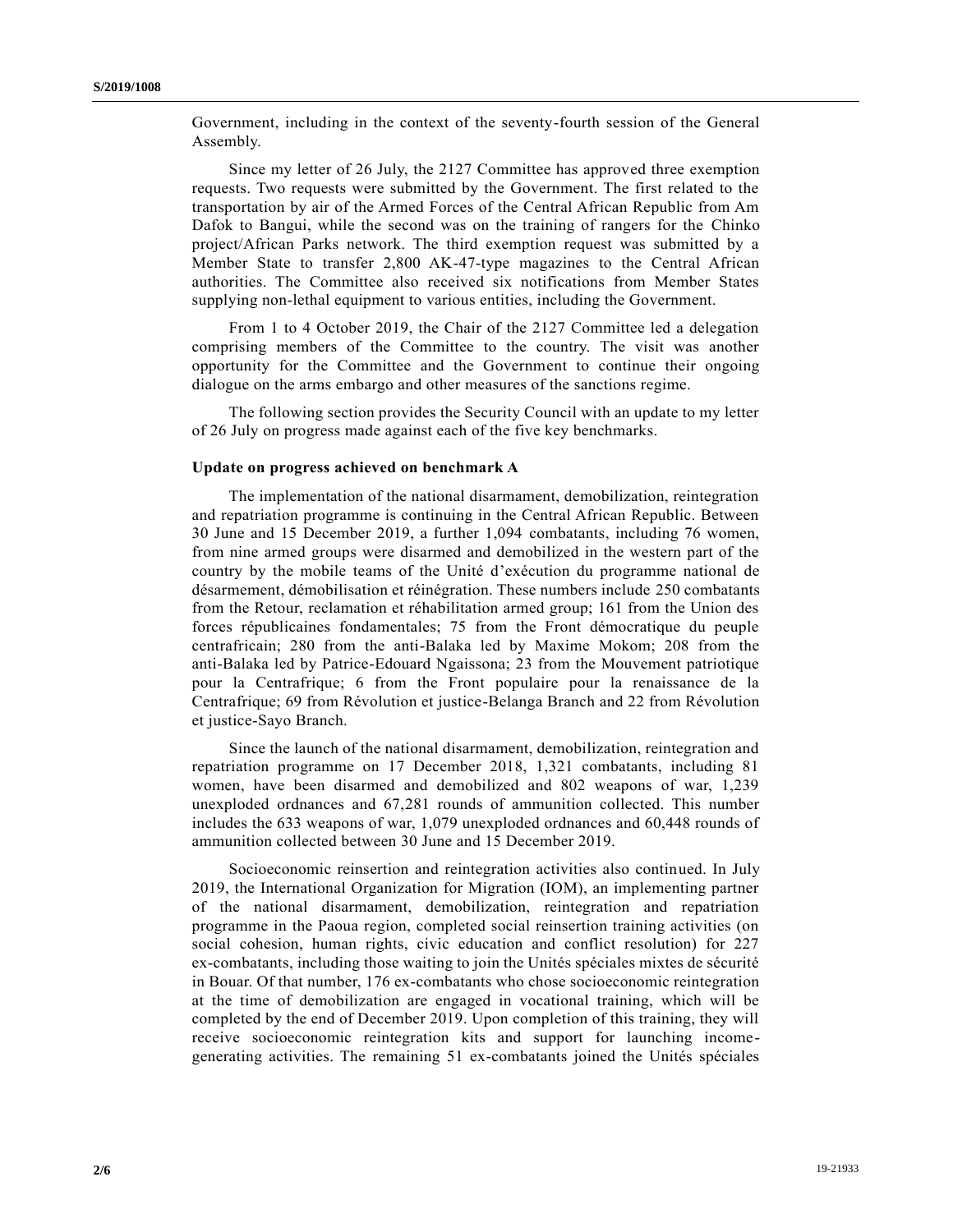Government, including in the context of the seventy-fourth session of the General Assembly.

Since my letter of 26 July, the 2127 Committee has approved three exemption requests. Two requests were submitted by the Government. The first related to the transportation by air of the Armed Forces of the Central African Republic from Am Dafok to Bangui, while the second was on the training of rangers for the Chinko project/African Parks network. The third exemption request was submitted by a Member State to transfer 2,800 AK-47-type magazines to the Central African authorities. The Committee also received six notifications from Member States supplying non-lethal equipment to various entities, including the Government.

From 1 to 4 October 2019, the Chair of the 2127 Committee led a delegation comprising members of the Committee to the country. The visit was another opportunity for the Committee and the Government to continue their ongoing dialogue on the arms embargo and other measures of the sanctions regime.

The following section provides the Security Council with an update to my letter of 26 July on progress made against each of the five key benchmarks.

#### **Update on progress achieved on benchmark A**

The implementation of the national disarmament, demobilization, reintegration and repatriation programme is continuing in the Central African Republic. Between 30 June and 15 December 2019, a further 1,094 combatants, including 76 women, from nine armed groups were disarmed and demobilized in the western part of the country by the mobile teams of the Unité d'exécution du programme national de désarmement, démobilisation et réinégration. These numbers include 250 combatants from the Retour, reclamation et réhabilitation armed group; 161 from the Union des forces républicaines fondamentales; 75 from the Front démocratique du peuple centrafricain; 280 from the anti-Balaka led by Maxime Mokom; 208 from the anti-Balaka led by Patrice-Edouard Ngaissona; 23 from the Mouvement patriotique pour la Centrafrique; 6 from the Front populaire pour la renaissance de la Centrafrique; 69 from Révolution et justice-Belanga Branch and 22 from Révolution et justice-Sayo Branch.

Since the launch of the national disarmament, demobilization, reintegration and repatriation programme on 17 December 2018, 1,321 combatants, including 81 women, have been disarmed and demobilized and 802 weapons of war, 1,239 unexploded ordnances and 67,281 rounds of ammunition collected. This number includes the 633 weapons of war, 1,079 unexploded ordnances and 60,448 rounds of ammunition collected between 30 June and 15 December 2019.

Socioeconomic reinsertion and reintegration activities also continued. In July 2019, the International Organization for Migration (IOM), an implementing partner of the national disarmament, demobilization, reintegration and repatriation programme in the Paoua region, completed social reinsertion training activities (on social cohesion, human rights, civic education and conflict resolution) for 227 ex-combatants, including those waiting to join the Unités spéciales mixtes de sécurité in Bouar. Of that number, 176 ex-combatants who chose socioeconomic reintegration at the time of demobilization are engaged in vocational training, which will be completed by the end of December 2019. Upon completion of this training, they will receive socioeconomic reintegration kits and support for launching incomegenerating activities. The remaining 51 ex-combatants joined the Unités spéciales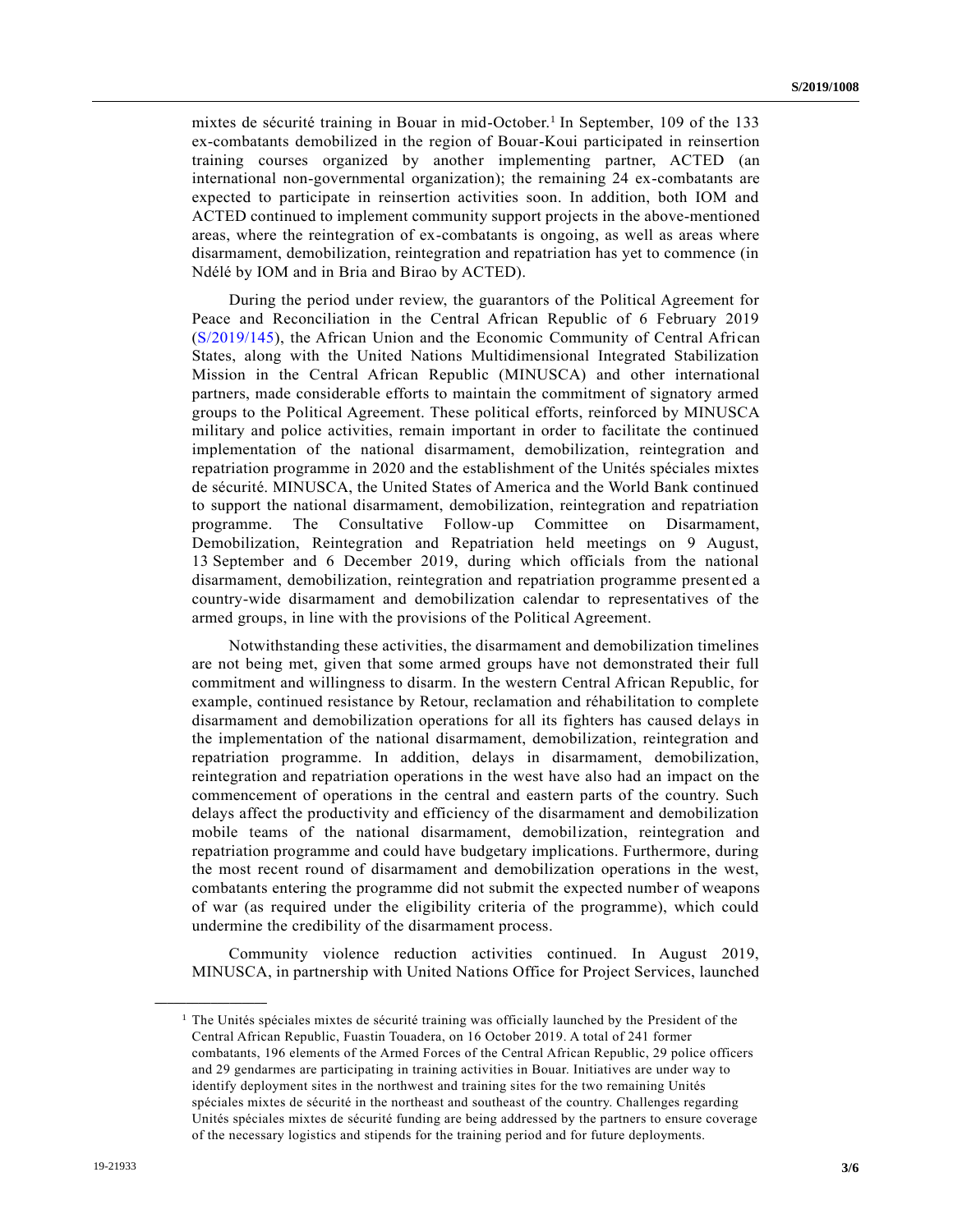mixtes de sécurité training in Bouar in mid-October.<sup>1</sup> In September, 109 of the 133 ex-combatants demobilized in the region of Bouar-Koui participated in reinsertion training courses organized by another implementing partner, ACTED (an international non-governmental organization); the remaining 24 ex-combatants are expected to participate in reinsertion activities soon. In addition, both IOM and ACTED continued to implement community support projects in the above-mentioned areas, where the reintegration of ex-combatants is ongoing, as well as areas where disarmament, demobilization, reintegration and repatriation has yet to commence (in Ndélé by IOM and in Bria and Birao by ACTED).

During the period under review, the guarantors of the Political Agreement for Peace and Reconciliation in the Central African Republic of 6 February 2019 [\(S/2019/145\)](https://undocs.org/en/S/2019/145), the African Union and the Economic Community of Central African States, along with the United Nations Multidimensional Integrated Stabilization Mission in the Central African Republic (MINUSCA) and other international partners, made considerable efforts to maintain the commitment of signatory armed groups to the Political Agreement. These political efforts, reinforced by MINUSCA military and police activities, remain important in order to facilitate the continued implementation of the national disarmament, demobilization, reintegration and repatriation programme in 2020 and the establishment of the Unités spéciales mixtes de sécurité. MINUSCA, the United States of America and the World Bank continued to support the national disarmament, demobilization, reintegration and repatriation programme. The Consultative Follow-up Committee on Disarmament, Demobilization, Reintegration and Repatriation held meetings on 9 August, 13 September and 6 December 2019, during which officials from the national disarmament, demobilization, reintegration and repatriation programme presented a country-wide disarmament and demobilization calendar to representatives of the armed groups, in line with the provisions of the Political Agreement.

Notwithstanding these activities, the disarmament and demobilization timelines are not being met, given that some armed groups have not demonstrated their full commitment and willingness to disarm. In the western Central African Republic, for example, continued resistance by Retour, reclamation and réhabilitation to complete disarmament and demobilization operations for all its fighters has caused delays in the implementation of the national disarmament, demobilization, reintegration and repatriation programme. In addition, delays in disarmament, demobilization, reintegration and repatriation operations in the west have also had an impact on the commencement of operations in the central and eastern parts of the country. Such delays affect the productivity and efficiency of the disarmament and demobilization mobile teams of the national disarmament, demobilization, reintegration and repatriation programme and could have budgetary implications. Furthermore, during the most recent round of disarmament and demobilization operations in the west, combatants entering the programme did not submit the expected number of weapons of war (as required under the eligibility criteria of the programme), which could undermine the credibility of the disarmament process.

Community violence reduction activities continued. In August 2019, MINUSCA, in partnership with United Nations Office for Project Services, launched

**\_\_\_\_\_\_\_\_\_\_\_\_\_\_\_\_\_\_**

 $<sup>1</sup>$  The Unités spéciales mixtes de sécurité training was officially launched by the President of the</sup> Central African Republic, Fuastin Touadera, on 16 October 2019. A total of 241 former combatants, 196 elements of the Armed Forces of the Central African Republic, 29 police officers and 29 gendarmes are participating in training activities in Bouar. Initiatives are under way to identify deployment sites in the northwest and training sites for the two remaining Unités spéciales mixtes de sécurité in the northeast and southeast of the country. Challenges regarding Unités spéciales mixtes de sécurité funding are being addressed by the partners to ensure coverage of the necessary logistics and stipends for the training period and for future deployments.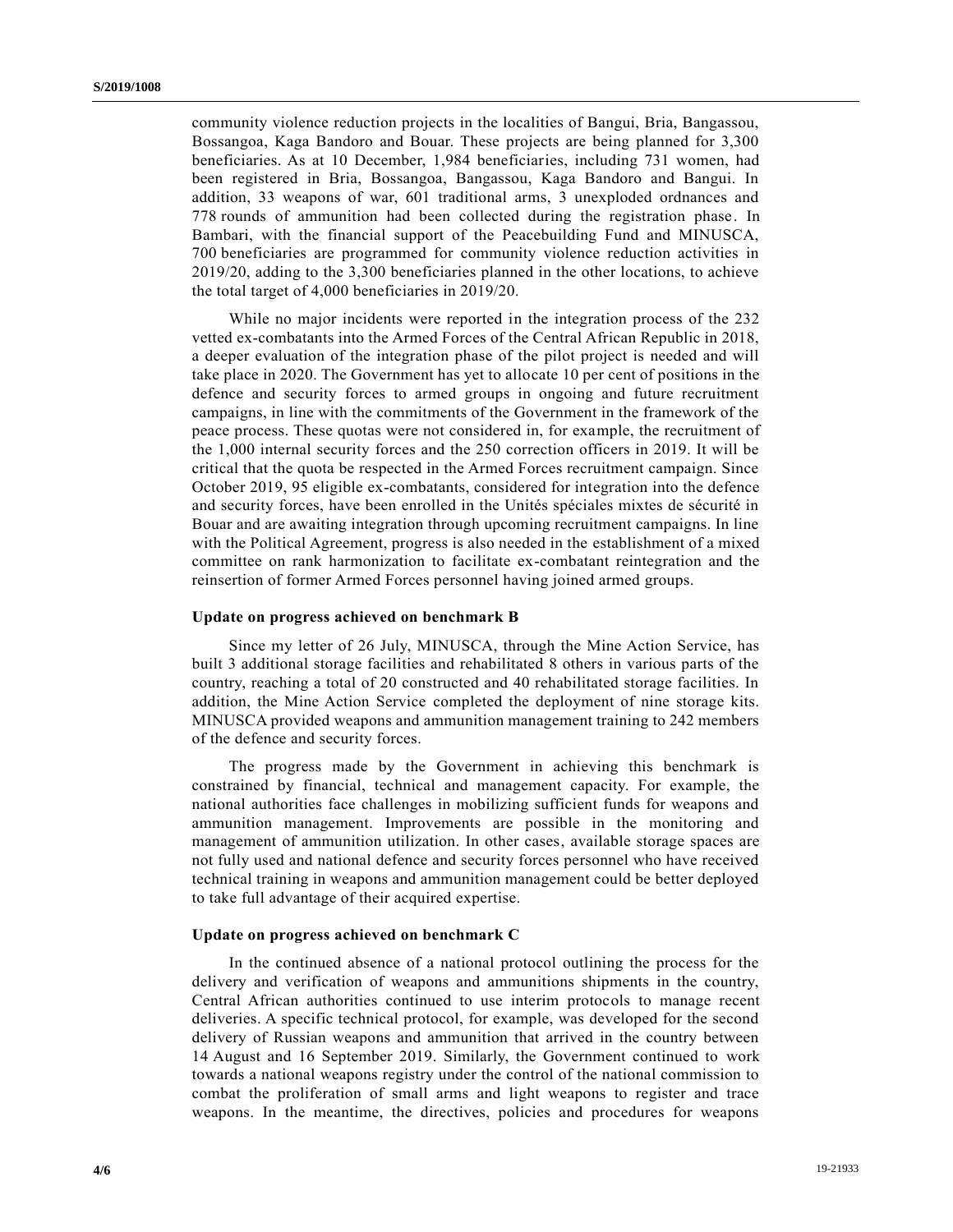community violence reduction projects in the localities of Bangui, Bria, Bangassou, Bossangoa, Kaga Bandoro and Bouar. These projects are being planned for 3,300 beneficiaries. As at 10 December, 1,984 beneficiaries, including 731 women, had been registered in Bria, Bossangoa, Bangassou, Kaga Bandoro and Bangui. In addition, 33 weapons of war, 601 traditional arms, 3 unexploded ordnances and 778 rounds of ammunition had been collected during the registration phase. In Bambari, with the financial support of the Peacebuilding Fund and MINUSCA, 700 beneficiaries are programmed for community violence reduction activities in 2019/20, adding to the 3,300 beneficiaries planned in the other locations, to achieve the total target of 4,000 beneficiaries in 2019/20.

While no major incidents were reported in the integration process of the 232 vetted ex-combatants into the Armed Forces of the Central African Republic in 2018, a deeper evaluation of the integration phase of the pilot project is needed and will take place in 2020. The Government has yet to allocate 10 per cent of positions in the defence and security forces to armed groups in ongoing and future recruitment campaigns, in line with the commitments of the Government in the framework of the peace process. These quotas were not considered in, for example, the recruitment of the 1,000 internal security forces and the 250 correction officers in 2019. It will be critical that the quota be respected in the Armed Forces recruitment campaign. Since October 2019, 95 eligible ex-combatants, considered for integration into the defence and security forces, have been enrolled in the Unités spéciales mixtes de sécurité in Bouar and are awaiting integration through upcoming recruitment campaigns. In line with the Political Agreement, progress is also needed in the establishment of a mixed committee on rank harmonization to facilitate ex-combatant reintegration and the reinsertion of former Armed Forces personnel having joined armed groups.

#### **Update on progress achieved on benchmark B**

Since my letter of 26 July, MINUSCA, through the Mine Action Service, has built 3 additional storage facilities and rehabilitated 8 others in various parts of the country, reaching a total of 20 constructed and 40 rehabilitated storage facilities. In addition, the Mine Action Service completed the deployment of nine storage kits. MINUSCA provided weapons and ammunition management training to 242 members of the defence and security forces.

The progress made by the Government in achieving this benchmark is constrained by financial, technical and management capacity. For example, the national authorities face challenges in mobilizing sufficient funds for weapons and ammunition management. Improvements are possible in the monitoring and management of ammunition utilization. In other cases, available storage spaces are not fully used and national defence and security forces personnel who have received technical training in weapons and ammunition management could be better deployed to take full advantage of their acquired expertise.

#### **Update on progress achieved on benchmark C**

In the continued absence of a national protocol outlining the process for the delivery and verification of weapons and ammunitions shipments in the country, Central African authorities continued to use interim protocols to manage recent deliveries. A specific technical protocol, for example, was developed for the second delivery of Russian weapons and ammunition that arrived in the country between 14 August and 16 September 2019. Similarly, the Government continued to work towards a national weapons registry under the control of the national commission to combat the proliferation of small arms and light weapons to register and trace weapons. In the meantime, the directives, policies and procedures for weapons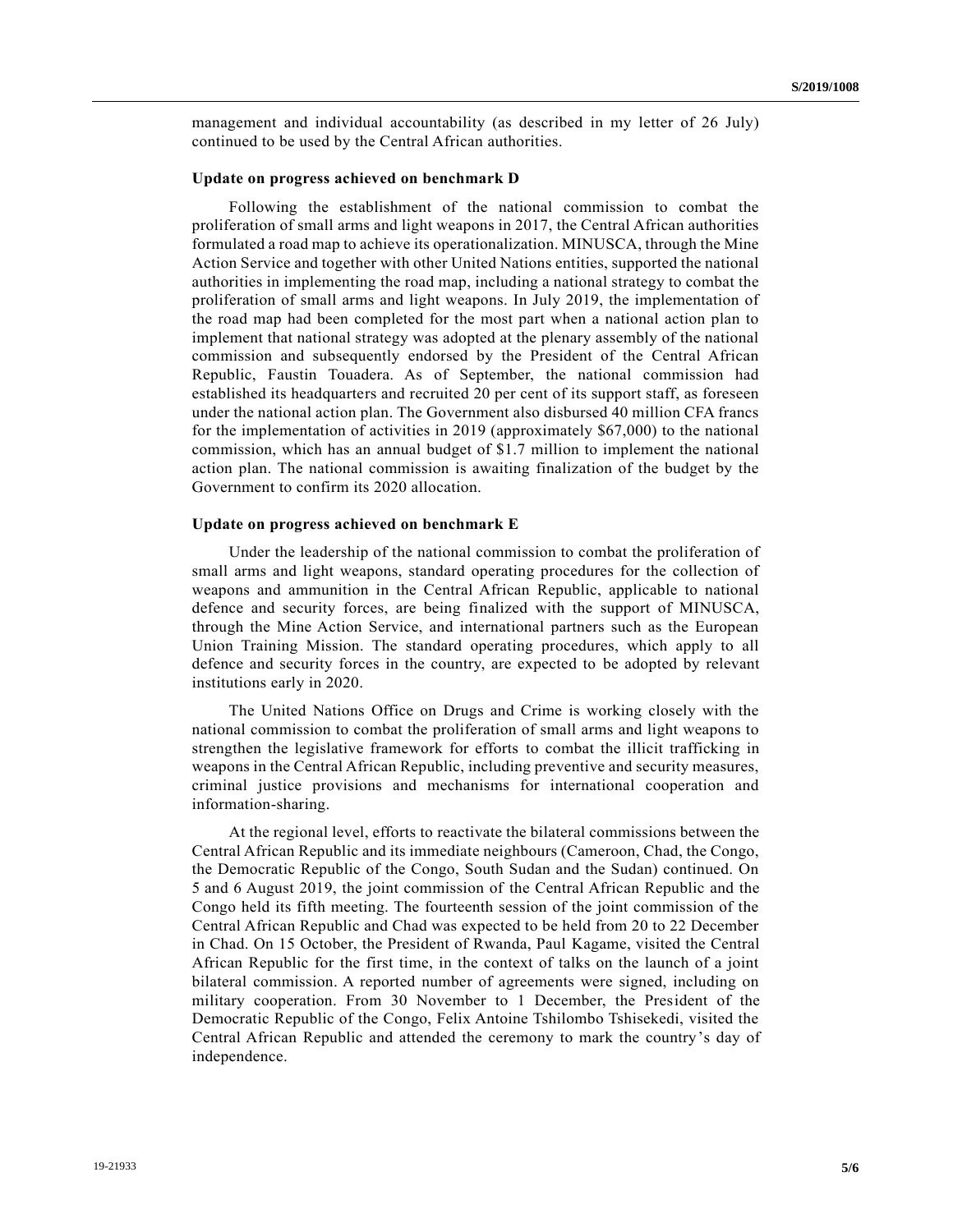management and individual accountability (as described in my letter of 26 July) continued to be used by the Central African authorities.

#### **Update on progress achieved on benchmark D**

Following the establishment of the national commission to combat the proliferation of small arms and light weapons in 2017, the Central African authorities formulated a road map to achieve its operationalization. MINUSCA, through the Mine Action Service and together with other United Nations entities, supported the national authorities in implementing the road map, including a national strategy to combat the proliferation of small arms and light weapons. In July 2019, the implementation of the road map had been completed for the most part when a national action plan to implement that national strategy was adopted at the plenary assembly of the national commission and subsequently endorsed by the President of the Central African Republic, Faustin Touadera. As of September, the national commission had established its headquarters and recruited 20 per cent of its support staff, as foreseen under the national action plan. The Government also disbursed 40 million CFA francs for the implementation of activities in 2019 (approximately \$67,000) to the national commission, which has an annual budget of \$1.7 million to implement the national action plan. The national commission is awaiting finalization of the budget by the Government to confirm its 2020 allocation.

### **Update on progress achieved on benchmark E**

Under the leadership of the national commission to combat the proliferation of small arms and light weapons, standard operating procedures for the collection of weapons and ammunition in the Central African Republic, applicable to national defence and security forces, are being finalized with the support of MINUSCA, through the Mine Action Service, and international partners such as the European Union Training Mission. The standard operating procedures, which apply to all defence and security forces in the country, are expected to be adopted by relevant institutions early in 2020.

The United Nations Office on Drugs and Crime is working closely with the national commission to combat the proliferation of small arms and light weapons to strengthen the legislative framework for efforts to combat the illicit trafficking in weapons in the Central African Republic, including preventive and security measures, criminal justice provisions and mechanisms for international cooperation and information-sharing.

At the regional level, efforts to reactivate the bilateral commissions between the Central African Republic and its immediate neighbours (Cameroon, Chad, the Congo, the Democratic Republic of the Congo, South Sudan and the Sudan) continued. On 5 and 6 August 2019, the joint commission of the Central African Republic and the Congo held its fifth meeting. The fourteenth session of the joint commission of the Central African Republic and Chad was expected to be held from 20 to 22 December in Chad. On 15 October, the President of Rwanda, Paul Kagame, visited the Central African Republic for the first time, in the context of talks on the launch of a joint bilateral commission. A reported number of agreements were signed, including on military cooperation. From 30 November to 1 December, the President of the Democratic Republic of the Congo, Felix Antoine Tshilombo Tshisekedi, visited the Central African Republic and attended the ceremony to mark the country's day of independence.